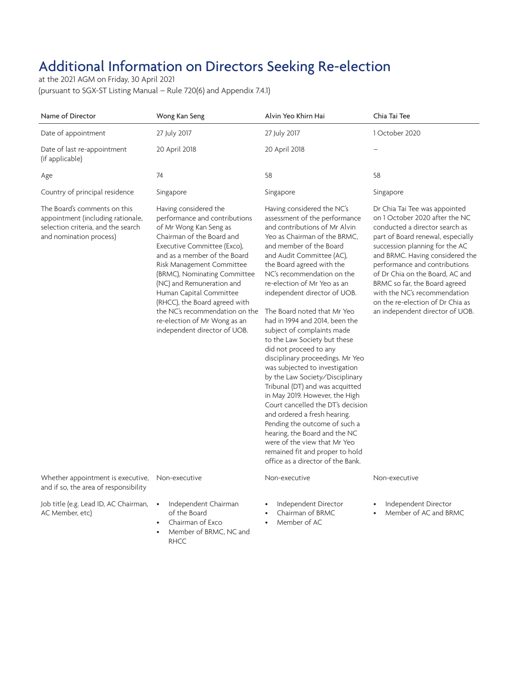## Additional Information on Directors Seeking Re-election

at the 2021 AGM on Friday, 30 April 2021 (pursuant to SGX-ST Listing Manual – Rule 720(6) and Appendix 7.4.1)

| Name of Director                                                                                                                   | Wong Kan Seng                                                                                                                                                                                                                                                                                                                                                                                                                        | Alvin Yeo Khirn Hai                                                                                                                                                                                                                                                                                                                                                                                                                                                                                                                                                                                                                                                                                                                                                                                                                                                                                  | Chia Tai Tee                                                                                                                                                                                                                                                                                                                                                                                                            |
|------------------------------------------------------------------------------------------------------------------------------------|--------------------------------------------------------------------------------------------------------------------------------------------------------------------------------------------------------------------------------------------------------------------------------------------------------------------------------------------------------------------------------------------------------------------------------------|------------------------------------------------------------------------------------------------------------------------------------------------------------------------------------------------------------------------------------------------------------------------------------------------------------------------------------------------------------------------------------------------------------------------------------------------------------------------------------------------------------------------------------------------------------------------------------------------------------------------------------------------------------------------------------------------------------------------------------------------------------------------------------------------------------------------------------------------------------------------------------------------------|-------------------------------------------------------------------------------------------------------------------------------------------------------------------------------------------------------------------------------------------------------------------------------------------------------------------------------------------------------------------------------------------------------------------------|
| Date of appointment                                                                                                                | 27 July 2017                                                                                                                                                                                                                                                                                                                                                                                                                         | 27 July 2017                                                                                                                                                                                                                                                                                                                                                                                                                                                                                                                                                                                                                                                                                                                                                                                                                                                                                         | 1 October 2020                                                                                                                                                                                                                                                                                                                                                                                                          |
| Date of last re-appointment<br>(if applicable)                                                                                     | 20 April 2018                                                                                                                                                                                                                                                                                                                                                                                                                        | 20 April 2018                                                                                                                                                                                                                                                                                                                                                                                                                                                                                                                                                                                                                                                                                                                                                                                                                                                                                        |                                                                                                                                                                                                                                                                                                                                                                                                                         |
| Age                                                                                                                                | 74                                                                                                                                                                                                                                                                                                                                                                                                                                   | 58                                                                                                                                                                                                                                                                                                                                                                                                                                                                                                                                                                                                                                                                                                                                                                                                                                                                                                   | 58                                                                                                                                                                                                                                                                                                                                                                                                                      |
| Country of principal residence                                                                                                     | Singapore                                                                                                                                                                                                                                                                                                                                                                                                                            | Singapore                                                                                                                                                                                                                                                                                                                                                                                                                                                                                                                                                                                                                                                                                                                                                                                                                                                                                            | Singapore                                                                                                                                                                                                                                                                                                                                                                                                               |
| The Board's comments on this<br>appointment (including rationale,<br>selection criteria, and the search<br>and nomination process) | Having considered the<br>performance and contributions<br>of Mr Wong Kan Seng as<br>Chairman of the Board and<br>Executive Committee (Exco),<br>and as a member of the Board<br>Risk Management Committee<br>(BRMC), Nominating Committee<br>(NC) and Remuneration and<br>Human Capital Committee<br>(RHCC), the Board agreed with<br>the NC's recommendation on the<br>re-election of Mr Wong as an<br>independent director of UOB. | Having considered the NC's<br>assessment of the performance<br>and contributions of Mr Alvin<br>Yeo as Chairman of the BRMC.<br>and member of the Board<br>and Audit Committee (AC),<br>the Board agreed with the<br>NC's recommendation on the<br>re-election of Mr Yeo as an<br>independent director of UOB.<br>The Board noted that Mr Yeo<br>had in 1994 and 2014, been the<br>subject of complaints made<br>to the Law Society but these<br>did not proceed to any<br>disciplinary proceedings. Mr Yeo<br>was subjected to investigation<br>by the Law Society/Disciplinary<br>Tribunal (DT) and was acquitted<br>in May 2019. However, the High<br>Court cancelled the DT's decision<br>and ordered a fresh hearing.<br>Pending the outcome of such a<br>hearing, the Board and the NC<br>were of the view that Mr Yeo<br>remained fit and proper to hold<br>office as a director of the Bank. | Dr Chia Tai Tee was appointed<br>on 1 October 2020 after the NC<br>conducted a director search as<br>part of Board renewal, especially<br>succession planning for the AC<br>and BRMC. Having considered the<br>performance and contributions<br>of Dr Chia on the Board, AC and<br>BRMC so far, the Board agreed<br>with the NC's recommendation<br>on the re-election of Dr Chia as<br>an independent director of UOB. |
| Whether appointment is executive,<br>and if so, the area of responsibility                                                         | Non-executive                                                                                                                                                                                                                                                                                                                                                                                                                        | Non-executive                                                                                                                                                                                                                                                                                                                                                                                                                                                                                                                                                                                                                                                                                                                                                                                                                                                                                        | Non-executive                                                                                                                                                                                                                                                                                                                                                                                                           |
| Job title (e.g. Lead ID, AC Chairman,<br>AC Member, etc)                                                                           | Independent Chairman<br>$\bullet$<br>of the Board<br>Chairman of Exco<br>$\bullet$                                                                                                                                                                                                                                                                                                                                                   | Independent Director<br>Chairman of BRMC<br>Member of AC<br>$\bullet$                                                                                                                                                                                                                                                                                                                                                                                                                                                                                                                                                                                                                                                                                                                                                                                                                                | Independent Director<br>Member of AC and BRMC                                                                                                                                                                                                                                                                                                                                                                           |

• Member of BRMC, NC and RHCC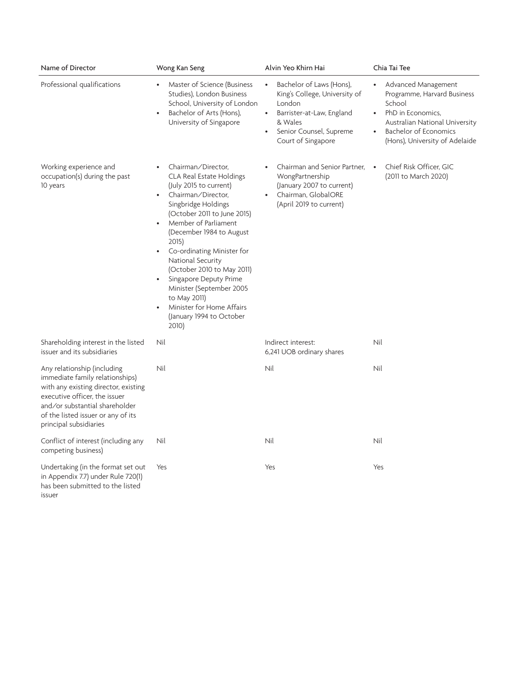| Name of Director                                                                                                                                                                                                                          | Wong Kan Seng                                                                                                                                                                                                                                                                                                                                                                                                                                                                     | Alvin Yeo Khirn Hai                                                                                                                                                                                 | Chia Tai Tee                                                                                                                                                                                                                 |
|-------------------------------------------------------------------------------------------------------------------------------------------------------------------------------------------------------------------------------------------|-----------------------------------------------------------------------------------------------------------------------------------------------------------------------------------------------------------------------------------------------------------------------------------------------------------------------------------------------------------------------------------------------------------------------------------------------------------------------------------|-----------------------------------------------------------------------------------------------------------------------------------------------------------------------------------------------------|------------------------------------------------------------------------------------------------------------------------------------------------------------------------------------------------------------------------------|
| Professional qualifications                                                                                                                                                                                                               | Master of Science (Business<br>Studies), London Business<br>School, University of London<br>Bachelor of Arts (Hons),<br>University of Singapore                                                                                                                                                                                                                                                                                                                                   | Bachelor of Laws (Hons),<br>$\bullet$<br>King's College, University of<br>London<br>Barrister-at-Law, England<br>$\bullet$<br>& Wales<br>Senior Counsel, Supreme<br>$\bullet$<br>Court of Singapore | Advanced Management<br>$\bullet$<br>Programme, Harvard Business<br>School<br>PhD in Economics,<br>$\bullet$<br>Australian National University<br><b>Bachelor of Economics</b><br>$\bullet$<br>(Hons), University of Adelaide |
| Working experience and<br>occupation(s) during the past<br>10 years                                                                                                                                                                       | Chairman/Director,<br>$\bullet$<br>CLA Real Estate Holdings<br>(July 2015 to current)<br>Chairman/Director,<br>$\bullet$<br>Singbridge Holdings<br>(October 2011 to June 2015)<br>Member of Parliament<br>(December 1984 to August<br>2015)<br>Co-ordinating Minister for<br>$\bullet$<br>National Security<br>(October 2010 to May 2011)<br>Singapore Deputy Prime<br>Minister (September 2005<br>to May 2011)<br>Minister for Home Affairs<br>(January 1994 to October<br>2010) | Chairman and Senior Partner,<br>$\bullet$<br>WongPartnership<br>(January 2007 to current)<br>Chairman, GlobalORE<br>$\bullet$<br>(April 2019 to current)                                            | Chief Risk Officer, GIC<br>$\bullet$<br>(2011 to March 2020)                                                                                                                                                                 |
| Shareholding interest in the listed<br>issuer and its subsidiaries                                                                                                                                                                        | Nil                                                                                                                                                                                                                                                                                                                                                                                                                                                                               | Indirect interest:<br>6,241 UOB ordinary shares                                                                                                                                                     | Nil                                                                                                                                                                                                                          |
| Any relationship (including<br>immediate family relationships)<br>with any existing director, existing<br>executive officer, the issuer<br>and/or substantial shareholder<br>of the listed issuer or any of its<br>principal subsidiaries | Nil                                                                                                                                                                                                                                                                                                                                                                                                                                                                               | Nil                                                                                                                                                                                                 | Nil                                                                                                                                                                                                                          |
| Conflict of interest (including any<br>competing business)                                                                                                                                                                                | Nil                                                                                                                                                                                                                                                                                                                                                                                                                                                                               | Nil                                                                                                                                                                                                 | Nil                                                                                                                                                                                                                          |
| Undertaking (in the format set out<br>in Appendix 7.7) under Rule 720(1)<br>has been submitted to the listed<br>issuer                                                                                                                    | Yes                                                                                                                                                                                                                                                                                                                                                                                                                                                                               | Yes                                                                                                                                                                                                 | Yes                                                                                                                                                                                                                          |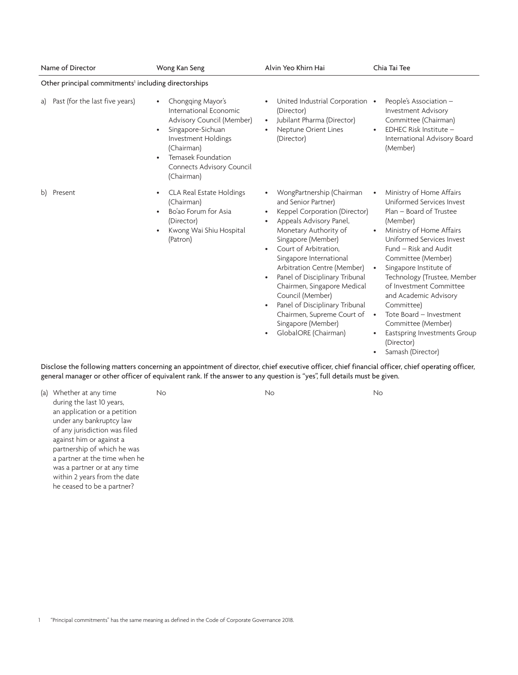| Name of Director                                                 | Wong Kan Seng                                                                                                                                                                                                                              | Alvin Yeo Khirn Hai                                                                                                                                                                                                                                                                                                                                                                                                                                                                                                | Chia Tai Tee                                                                                                                                                                                                                                                                                                                                                                                                                                                               |  |
|------------------------------------------------------------------|--------------------------------------------------------------------------------------------------------------------------------------------------------------------------------------------------------------------------------------------|--------------------------------------------------------------------------------------------------------------------------------------------------------------------------------------------------------------------------------------------------------------------------------------------------------------------------------------------------------------------------------------------------------------------------------------------------------------------------------------------------------------------|----------------------------------------------------------------------------------------------------------------------------------------------------------------------------------------------------------------------------------------------------------------------------------------------------------------------------------------------------------------------------------------------------------------------------------------------------------------------------|--|
| Other principal commitments <sup>1</sup> including directorships |                                                                                                                                                                                                                                            |                                                                                                                                                                                                                                                                                                                                                                                                                                                                                                                    |                                                                                                                                                                                                                                                                                                                                                                                                                                                                            |  |
| Past (for the last five years)<br>a)                             | Chongqing Mayor's<br>$\bullet$<br>International Economic<br>Advisory Council (Member)<br>Singapore-Sichuan<br>$\bullet$<br>Investment Holdings<br>(Chairman)<br>Temasek Foundation<br>$\bullet$<br>Connects Advisory Council<br>(Chairman) | United Industrial Corporation •<br>(Director)<br>Jubilant Pharma (Director)<br>$\bullet$<br>Neptune Orient Lines<br>$\bullet$<br>(Director)                                                                                                                                                                                                                                                                                                                                                                        | People's Association -<br>Investment Advisory<br>Committee (Chairman)<br>EDHEC Risk Institute -<br>International Advisory Board<br>(Member)                                                                                                                                                                                                                                                                                                                                |  |
| Present<br>b)                                                    | CLA Real Estate Holdings<br>$\bullet$<br>(Chairman)<br>Bo'ao Forum for Asia<br>$\bullet$<br>(Director)<br>Kwong Wai Shiu Hospital<br>$\bullet$<br>(Patron)                                                                                 | WongPartnership (Chairman<br>and Senior Partner)<br>Keppel Corporation (Director)<br>$\bullet$<br>Appeals Advisory Panel,<br>Monetary Authority of<br>Singapore (Member)<br>Court of Arbitration.<br>$\bullet$<br>Singapore International<br>Arbitration Centre (Member)<br>Panel of Disciplinary Tribunal<br>$\bullet$<br>Chairmen, Singapore Medical<br>Council (Member)<br>Panel of Disciplinary Tribunal<br>$\bullet$<br>Chairmen, Supreme Court of<br>Singapore (Member)<br>GlobalORE (Chairman)<br>$\bullet$ | Ministry of Home Affairs<br>Uniformed Services Invest<br>Plan - Board of Trustee<br>(Member)<br>Ministry of Home Affairs<br>Uniformed Services Invest<br>Fund - Risk and Audit<br>Committee (Member)<br>Singapore Institute of<br>٠<br>Technology (Trustee, Member<br>of Investment Committee<br>and Academic Advisory<br>Committee)<br>Tote Board - Investment<br>$\bullet$<br>Committee (Member)<br>Eastspring Investments Group<br>(Director)<br>Samash (Director)<br>٠ |  |

Disclose the following matters concerning an appointment of director, chief executive officer, chief financial officer, chief operating officer, general manager or other officer of equivalent rank. If the answer to any question is "yes", full details must be given.

(a) Whether at any time during the last 10 years, an application or a petition under any bankruptcy law of any jurisdiction was filed against him or against a partnership of which he was a partner at the time when he was a partner or at any time within 2 years from the date he ceased to be a partner?

No No No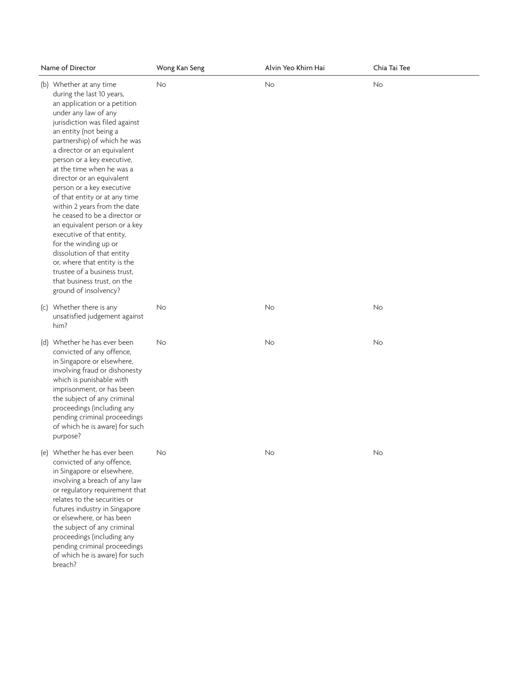| Name of Director                                                                                                                                                                                                                                                                                                                                                                                                                                                                                                                                                                                                                                                                                            | Wong Kan Seng | Alvin Yeo Khirn Hai | Chia Tai Tee |
|-------------------------------------------------------------------------------------------------------------------------------------------------------------------------------------------------------------------------------------------------------------------------------------------------------------------------------------------------------------------------------------------------------------------------------------------------------------------------------------------------------------------------------------------------------------------------------------------------------------------------------------------------------------------------------------------------------------|---------------|---------------------|--------------|
| (b) Whether at any time<br>during the last 10 years,<br>an application or a petition<br>under any law of any<br>jurisdiction was filed against<br>an entity (not being a<br>partnership) of which he was<br>a director or an equivalent<br>person or a key executive,<br>at the time when he was a<br>director or an equivalent<br>person or a key executive<br>of that entity or at any time<br>within 2 years from the date<br>he ceased to be a director or<br>an equivalent person or a key<br>executive of that entity,<br>for the winding up or<br>dissolution of that entity<br>or, where that entity is the<br>trustee of a business trust,<br>that business trust, on the<br>ground of insolvency? | No            | No                  | No           |
| (c) Whether there is any<br>unsatisfied judgement against<br>him?                                                                                                                                                                                                                                                                                                                                                                                                                                                                                                                                                                                                                                           | No            | <b>No</b>           | No           |
| (d) Whether he has ever been<br>convicted of any offence,<br>in Singapore or elsewhere,<br>involving fraud or dishonesty<br>which is punishable with<br>imprisonment, or has been<br>the subject of any criminal<br>proceedings (including any<br>pending criminal proceedings<br>of which he is aware) for such<br>purpose?                                                                                                                                                                                                                                                                                                                                                                                | No            | No                  | No           |
| (e) Whether he has ever been<br>convicted of any offence,<br>in Singapore or elsewhere,<br>involving a breach of any law<br>or regulatory requirement that<br>relates to the securities or<br>futures industry in Singapore<br>or elsewhere, or has been<br>the subject of any criminal<br>proceedings (including any<br>pending criminal proceedings<br>of which he is aware) for such<br>breach?                                                                                                                                                                                                                                                                                                          | No            | No                  | No           |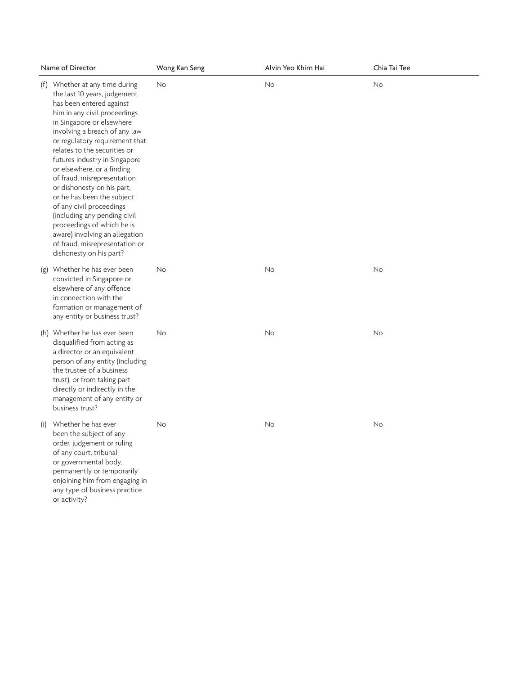|     | Name of Director                                                                                                                                                                                                                                                                                                                                                                                                                                                                                                                                                                                              | Wong Kan Seng | Alvin Yeo Khirn Hai | Chia Tai Tee |
|-----|---------------------------------------------------------------------------------------------------------------------------------------------------------------------------------------------------------------------------------------------------------------------------------------------------------------------------------------------------------------------------------------------------------------------------------------------------------------------------------------------------------------------------------------------------------------------------------------------------------------|---------------|---------------------|--------------|
|     | (f) Whether at any time during<br>the last 10 years, judgement<br>has been entered against<br>him in any civil proceedings<br>in Singapore or elsewhere<br>involving a breach of any law<br>or regulatory requirement that<br>relates to the securities or<br>futures industry in Singapore<br>or elsewhere, or a finding<br>of fraud, misrepresentation<br>or dishonesty on his part,<br>or he has been the subject<br>of any civil proceedings<br>(including any pending civil<br>proceedings of which he is<br>aware) involving an allegation<br>of fraud, misrepresentation or<br>dishonesty on his part? | No            | No                  | <b>No</b>    |
|     | (g) Whether he has ever been<br>convicted in Singapore or<br>elsewhere of any offence<br>in connection with the<br>formation or management of<br>any entity or business trust?                                                                                                                                                                                                                                                                                                                                                                                                                                | No            | No                  | No           |
|     | (h) Whether he has ever been<br>disqualified from acting as<br>a director or an equivalent<br>person of any entity (including<br>the trustee of a business<br>trust), or from taking part<br>directly or indirectly in the<br>management of any entity or<br>business trust?                                                                                                                                                                                                                                                                                                                                  | No            | <b>No</b>           | <b>No</b>    |
| (i) | Whether he has ever<br>been the subject of any<br>order, judgement or ruling<br>of any court, tribunal<br>or governmental body,<br>permanently or temporarily<br>enjoining him from engaging in<br>any type of business practice<br>or activity?                                                                                                                                                                                                                                                                                                                                                              | No            | No                  | No           |